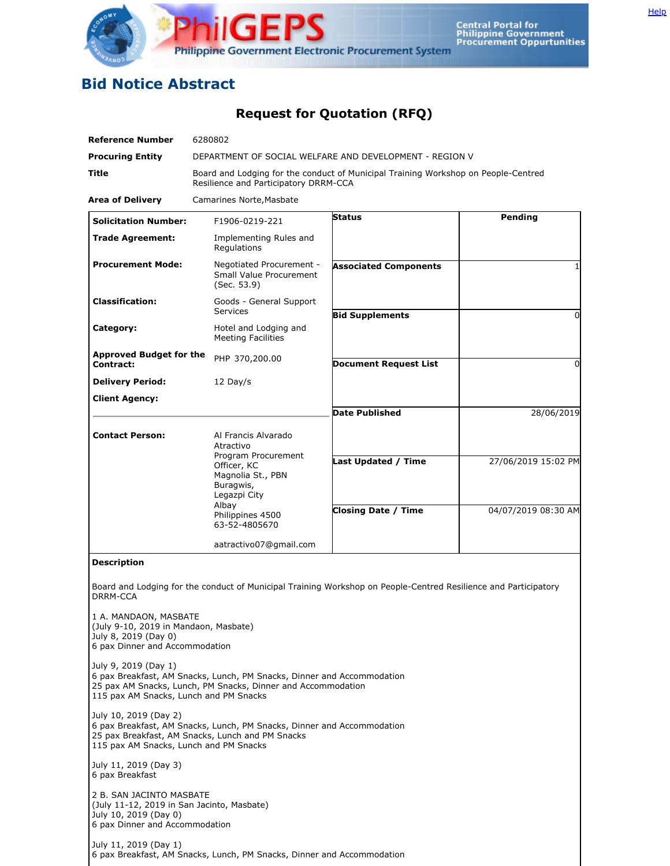

## **Bid Notice Abstract**

## **Request for Quotation (RFQ)**

| <b>Reference Number</b>                                                                                                           | 6280802                                                                                                                                |                                                                                                                 |                     |
|-----------------------------------------------------------------------------------------------------------------------------------|----------------------------------------------------------------------------------------------------------------------------------------|-----------------------------------------------------------------------------------------------------------------|---------------------|
| <b>Procuring Entity</b>                                                                                                           | DEPARTMENT OF SOCIAL WELFARE AND DEVELOPMENT - REGION V                                                                                |                                                                                                                 |                     |
| <b>Title</b>                                                                                                                      | Board and Lodging for the conduct of Municipal Training Workshop on People-Centred<br>Resilience and Participatory DRRM-CCA            |                                                                                                                 |                     |
| <b>Area of Delivery</b>                                                                                                           | Camarines Norte, Masbate                                                                                                               |                                                                                                                 |                     |
| <b>Solicitation Number:</b>                                                                                                       | F1906-0219-221                                                                                                                         | <b>Status</b>                                                                                                   | Pending             |
| <b>Trade Agreement:</b>                                                                                                           | Implementing Rules and<br>Regulations                                                                                                  |                                                                                                                 |                     |
| <b>Procurement Mode:</b>                                                                                                          | Negotiated Procurement -<br>Small Value Procurement<br>(Sec. 53.9)                                                                     | <b>Associated Components</b>                                                                                    | 1                   |
| <b>Classification:</b>                                                                                                            | Goods - General Support<br><b>Services</b>                                                                                             | <b>Bid Supplements</b>                                                                                          | $\Omega$            |
| Category:                                                                                                                         | Hotel and Lodging and<br><b>Meeting Facilities</b>                                                                                     |                                                                                                                 |                     |
| <b>Approved Budget for the</b><br>Contract:                                                                                       | PHP 370,200.00                                                                                                                         | <b>Document Request List</b>                                                                                    | $\Omega$            |
| <b>Delivery Period:</b>                                                                                                           | 12 Day/s                                                                                                                               |                                                                                                                 |                     |
| <b>Client Agency:</b>                                                                                                             |                                                                                                                                        |                                                                                                                 |                     |
|                                                                                                                                   |                                                                                                                                        | <b>Date Published</b>                                                                                           | 28/06/2019          |
| <b>Contact Person:</b>                                                                                                            | Al Francis Alvarado<br>Atractivo                                                                                                       |                                                                                                                 |                     |
|                                                                                                                                   | Program Procurement<br>Officer, KC<br>Magnolia St., PBN<br>Buragwis,<br>Legazpi City                                                   | Last Updated / Time                                                                                             | 27/06/2019 15:02 PM |
|                                                                                                                                   | Albay<br>Philippines 4500<br>63-52-4805670                                                                                             | <b>Closing Date / Time</b>                                                                                      | 04/07/2019 08:30 AM |
|                                                                                                                                   | aatractivo07@gmail.com                                                                                                                 |                                                                                                                 |                     |
| <b>Description</b>                                                                                                                |                                                                                                                                        |                                                                                                                 |                     |
| <b>DRRM-CCA</b>                                                                                                                   |                                                                                                                                        | Board and Lodging for the conduct of Municipal Training Workshop on People-Centred Resilience and Participatory |                     |
| 1 A. MANDAON, MASBATE<br>(July 9-10, 2019 in Mandaon, Masbate)<br>July 8, 2019 (Day 0)<br>6 pax Dinner and Accommodation          |                                                                                                                                        |                                                                                                                 |                     |
| July 9, 2019 (Day 1)<br>115 pax AM Snacks, Lunch and PM Snacks                                                                    | 6 pax Breakfast, AM Snacks, Lunch, PM Snacks, Dinner and Accommodation<br>25 pax AM Snacks, Lunch, PM Snacks, Dinner and Accommodation |                                                                                                                 |                     |
| July 10, 2019 (Day 2)<br>115 pax AM Snacks, Lunch and PM Snacks                                                                   | 6 pax Breakfast, AM Snacks, Lunch, PM Snacks, Dinner and Accommodation<br>25 pax Breakfast, AM Snacks, Lunch and PM Snacks             |                                                                                                                 |                     |
| July 11, 2019 (Day 3)<br>6 pax Breakfast                                                                                          |                                                                                                                                        |                                                                                                                 |                     |
| 2 B. SAN JACINTO MASBATE<br>(July 11-12, 2019 in San Jacinto, Masbate)<br>July 10, 2019 (Day 0)<br>6 pax Dinner and Accommodation |                                                                                                                                        |                                                                                                                 |                     |
| July 11, 2019 (Day 1)                                                                                                             | 6 pax Breakfast, AM Snacks, Lunch, PM Snacks, Dinner and Accommodation                                                                 |                                                                                                                 |                     |